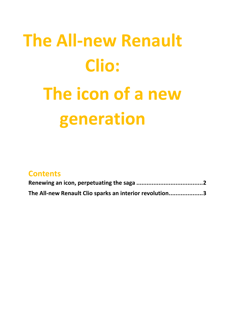# **The All-new Renault Clio: The icon of a new generation**

| <b>Contents</b>                                         |  |
|---------------------------------------------------------|--|
|                                                         |  |
| The All-new Renault Clio sparks an interior revolution3 |  |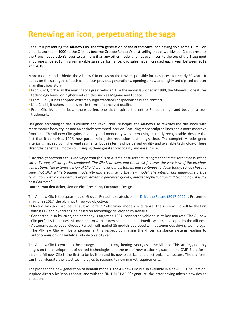### <span id="page-1-0"></span>**Renewing an icon, perpetuating the saga**

Renault is presenting the All-new Clio, the fifth generation of the automotive icon having sold some 15 million units. Launched in 1990 to the Clio has become Groupe Renault's best-selling model worldwide. Clio represents the French population's favorite car more than any other model and has even risen to the top of the B segment in Europe since 2013. In a remarkable sales performance, Clio sales have increased each year between 2012 and 2018.

More modern and athletic, the All-new Clio draws on the DNA responsible for its success for nearly 30 years. It builds on the strengths of each of the four previous generations, opening a new and highly anticipated chapter in an illustrious story.

- From Clio I, it "has all the makings of a great vehicle". Like the model launched in 1990, the All-new Clio features technology found on higher-end vehicles such as Mégane and Espace.
- **From Clio II, it has adopted extremely high standards of spaciousness and comfort.**
- Like Clio III, it ushers in a new era in terms of perceived quality.
- From Clio IV, it inherits a strong design, one that inspired the entire Renault range and became a true trademark.

Designed according to the "Evolution and Revolution" principle, the All-new Clio rewrites the rule book with more mature body styling and an entirely revamped interior. Featuring more sculpted lines and a more assertive front end, The All-new Clio gains in vitality and modernity while remaining instantly recognizable, despite the fact that it comprises 100% new parts. Inside, the revolution is strikingly clear. The completely redesigned interior is inspired by higher-end segments, both in terms of perceived quality and available technology. These strengths benefit all motorists, bringing them greater practicality and ease in use.

*"The fifth-generation Clio is very important for us as it is the best-seller in its segment and the second best-selling car in Europe, all categories combined. The Clio is an icon, and the latest features the very best of the previous generations. The exterior design of Clio IV won over our customers and continues to do so today, so we chose to keep that DNA while bringing modernity and elegance to the new model. The interior has undergone a true revolution, with a considerable improvement in perceived quality, greater sophistication and technology. It is the best Clio ever."*

#### **Laurens van den Acker, Senior Vice President, Corporate Design**

The All-new Clio is the spearhead of Groupe Renault's strategic plan, ["Drive the Future \(2017](https://drivethefuture.groupe.renault.com/en)-2022)". Presented in autumn 2017, the plan has three key objectives:

- Electric: by 2022, Groupe Renault will offer 12 electrified models in its range. The All-new Clio will be the first with its E-Tech hybrid engine based on technology developed by Renault.
- Connected: also by 2022, the company is targeting 100% connected vehicles in its key markets. The All-new Clio perfectly illustrates this momentum with its new connected multimedia system developed by the Alliance.
- Autonomous: by 2022, Groupe Renault will market 15 models equipped with autonomous driving technology. The All-new Clio will be a pioneer in this respect by making the driver assistance systems leading to autonomous driving widely available on a city car.

The All-new Clio is central to the strategy aimed at strengthening synergies in the Alliance. This strategy notably hinges on the development of shared technologies and the use of new platforms, such as the CMF-B platform that the All-new Clio is the first to be built on and its new electrical and electronic architecture. The platform can thus integrate the latest technologies to respond to new market requirements.

The pioneer of a new generation of Renault models, the All-new Clio is also available in a new R.S. Line version, inspired directly by Renault Sport, and with the "INITIALE PARIS" signature, the latter having taken a new design direction.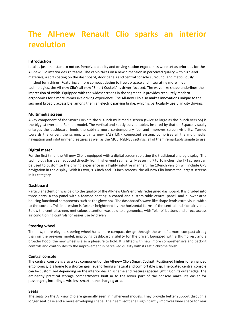## <span id="page-2-0"></span>**The All-new Renault Clio sparks an interior revolution**

#### **Introduction**

It takes just an instant to notice. Perceived quality and driving station ergonomics were set as priorities for the All-new Clio interior design teams. The cabin takes on a new dimension in perceived quality with high-end materials, a soft coating on the dashboard, door panels and central console surround, and meticulously finished furnishings. Featuring a more compact design to free up space and integrating more in-car technologies, the All-new Clio's all-new "Smart Cockpit" is driver-focused. The wave-like shape underlines the impression of width. Equipped with the widest screens in the segment, it provides resolutely modern ergonomics for a more immersive driving experience. The All-new Clio also makes innovations unique to the segment broadly accessible, among them an electric parking brake, which is particularly useful in city driving.

#### **Multimedia screen**

A key component of the Smart Cockpit, the 9.3-inch multimedia screen (twice as large as the 7-inch version) is the biggest ever on a Renault model. The vertical and subtly curved tablet, inspired by that on Espace, visually enlarges the dashboard, lends the cabin a more contemporary feel and improves screen visibility. Turned towards the driver, the screen, with its new EASY LINK connected system, comprises all the multimedia, navigation and infotainment features as well as the MULTI-SENSE settings, all of them remarkably simple to use.

#### **Digital meter**

For the first time, the All-new Clio is equipped with a digital screen replacing the traditional analog display. The technology has been adopted directly from higher-end segments. Measuring 7 to 10 inches, the TFT screen can be used to customize the driving experience in a highly intuitive manner. The 10-inch version will include GPS navigation in the display. With its two, 9.3-inch and 10-inch screens, the All-new Clio boasts the largest screens in its category.

#### **Dashboard**

Particular attention was paid to the quality of the All-new Clio's entirely redesigned dashboard. It is divided into three parts: a top panel with a foamed coating, a coated and customizable central panel, and a lower area housing functional components such as the glove box. The dashboard's wave-like shape lends extra visual width to the cockpit. This impression is further heightened by the horizontal forms of the central and side air vents. Below the central screen, meticulous attention was paid to ergonomics, with "piano" buttons and direct-access air conditioning controls for easier use by drivers.

#### **Steering wheel**

The new, more elegant steering wheel has a more compact design through the use of a more compact airbag than on the previous model, improving dashboard visibility for the driver. Equipped with a thumb rest and a broader hoop, the new wheel is also a pleasure to hold. It is fitted with new, more comprehensive and back-lit controls and contributes to the improvement in perceived quality with its satin chrome finish.

#### **Central console**

The central console is also a key component of the All-new Clio's Smart Cockpit. Positioned higher for enhanced ergonomics, it is home to a shorter gear lever offering a natural and comfortable grip. The coated central console can be customized depending on the interior design scheme and features special lighting on its outer edge. The eminently practical storage compartments built in to the lower part of the console make life easier for passengers, including a wireless smartphone charging area.

#### **Seats**

The seats on the All-new Clio are generally seen in higher-end models. They provide better support through a longer seat base and a more enveloping shape. Their semi-soft shell significantly improves knee space for rear